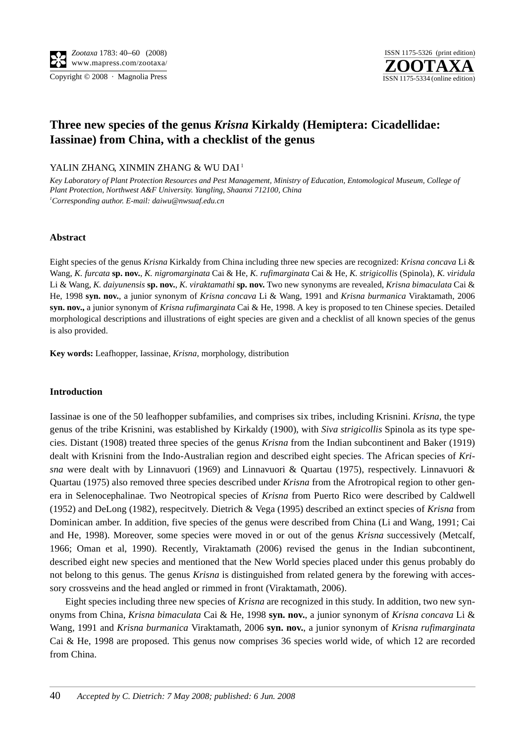

# **Three new species of the genus** *Krisna* **Kirkaldy (Hemiptera: Cicadellidae: Iassinae) from China, with a checklist of the genus**

YALIN ZHANG, XINMIN ZHANG & WU DAI<sup>1</sup>

*Key Laboratory of Plant Protection Resources and Pest Management, Ministry of Education, Entomological Museum, College of Plant Protection, Northwest A&F University. Yangling, Shaanxi 712100, China 1 Corresponding author. E-mail: daiwu@nwsuaf.edu.cn*

## **Abstract**

Eight species of the genus *Krisna* Kirkaldy from China including three new species are recognized: *Krisna concava* Li & Wang, *K. furcata* **sp. nov.**, *K. nigromarginata* Cai & He, *K. rufimarginata* Cai & He, *K. strigicollis* (Spinola), *K. viridula* Li & Wang, *K. daiyunensis* **sp. nov.**, *K. viraktamathi* **sp. nov.** Two new synonyms are revealed, *Krisna bimaculata* Cai & He, 1998 **syn. nov.**, a junior synonym of *Krisna concava* Li & Wang, 1991 and *Krisna burmanica* Viraktamath, 2006 **syn. nov.,** a junior synonym of *Krisna rufimarginata* Cai & He, 1998. A key is proposed to ten Chinese species. Detailed morphological descriptions and illustrations of eight species are given and a checklist of all known species of the genus is also provided.

**Key words:** Leafhopper, Iassinae, *Krisna*, morphology, distribution

## **Introduction**

Iassinae is one of the 50 leafhopper subfamilies, and comprises six tribes, including Krisnini. *Krisna*, the type genus of the tribe Krisnini, was established by Kirkaldy (1900), with *Siva strigicollis* Spinola as its type species. Distant (1908) treated three species of the genus *Krisna* from the Indian subcontinent and Baker (1919) dealt with Krisnini from the Indo-Australian region and described eight species. The African species of *Krisna* were dealt with by Linnavuori (1969) and Linnavuori & Quartau (1975), respectively. Linnavuori & Quartau (1975) also removed three species described under *Krisna* from the Afrotropical region to other genera in Selenocephalinae. Two Neotropical species of *Krisna* from Puerto Rico were described by Caldwell (1952) and DeLong (1982), respecitvely. Dietrich & Vega (1995) described an extinct species of *Krisna* from Dominican amber. In addition, five species of the genus were described from China (Li and Wang, 1991; Cai and He, 1998). Moreover, some species were moved in or out of the genus *Krisna* successively (Metcalf, 1966; Oman et al, 1990). Recently, Viraktamath (2006) revised the genus in the Indian subcontinent, described eight new species and mentioned that the New World species placed under this genus probably do not belong to this genus. The genus *Krisna* is distinguished from related genera by the forewing with accessory crossveins and the head angled or rimmed in front (Viraktamath, 2006).

Eight species including three new species of *Krisna* are recognized in this study. In addition, two new synonyms from China, *Krisna bimaculata* Cai & He, 1998 **syn. nov.**, a junior synonym of *Krisna concava* Li & Wang, 1991 and *Krisna burmanica* Viraktamath, 2006 **syn. nov.**, a junior synonym of *Krisna rufimarginata* Cai & He, 1998 are proposed. This genus now comprises 36 species world wide, of which 12 are recorded from China.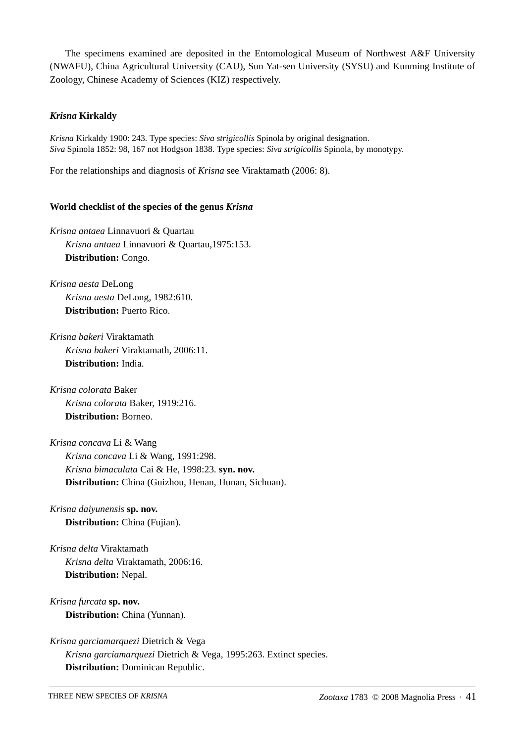The specimens examined are deposited in the Entomological Museum of Northwest A&F University (NWAFU), China Agricultural University (CAU), Sun Yat-sen University (SYSU) and Kunming Institute of Zoology, Chinese Academy of Sciences (KIZ) respectively.

## *Krisna* **Kirkaldy**

*Krisna* Kirkaldy 1900: 243. Type species: *Siva strigicollis* Spinola by original designation. *Siva* Spinola 1852: 98, 167 not Hodgson 1838. Type species: *Siva strigicollis* Spinola, by monotypy.

For the relationships and diagnosis of *Krisna* see Viraktamath (2006: 8).

## **World checklist of the species of the genus** *Krisna*

*Krisna antaea* Linnavuori & Quartau *Krisna antaea* Linnavuori & Quartau,1975:153. **Distribution:** Congo.

*Krisna aesta* DeLong *Krisna aesta* DeLong, 1982:610. **Distribution:** Puerto Rico.

*Krisna bakeri* Viraktamath *Krisna bakeri* Viraktamath, 2006:11. **Distribution:** India.

*Krisna colorata* Baker *Krisna colorata* Baker, 1919:216. **Distribution:** Borneo.

*Krisna concava* Li & Wang *Krisna concava* Li & Wang, 1991:298. *Krisna bimaculata* Cai & He, 1998:23. **syn. nov. Distribution:** China (Guizhou, Henan, Hunan, Sichuan).

- *Krisna daiyunensis* **sp. nov. Distribution:** China (Fujian).
- *Krisna delta* Viraktamath *Krisna delta* Viraktamath, 2006:16. **Distribution:** Nepal.
- *Krisna furcata* **sp. nov.** Distribution: China (Yunnan).

*Krisna garciamarquezi* Dietrich & Vega *Krisna garciamarquezi* Dietrich & Vega, 1995:263. Extinct species. **Distribution:** Dominican Republic.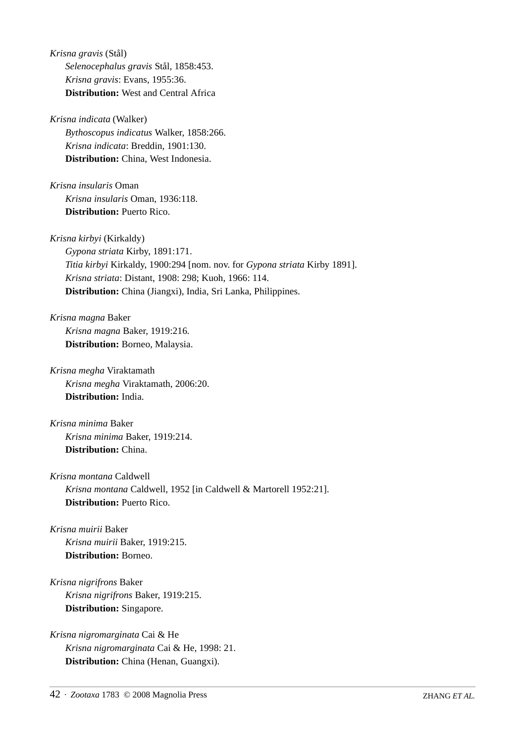*Krisna gravis* (Stål) *Selenocephalus gravis* Stål, 1858:453. *Krisna gravis*: Evans, 1955:36. **Distribution:** West and Central Africa

*Krisna indicata* (Walker)

*Bythoscopus indicatus* Walker, 1858:266. *Krisna indicata*: Breddin, 1901:130. **Distribution:** China, West Indonesia.

*Krisna insularis* Oman *Krisna insularis* Oman, 1936:118. **Distribution:** Puerto Rico.

*Krisna kirbyi* (Kirkaldy)

*Gypona striata* Kirby, 1891:171. *Titia kirbyi* Kirkaldy, 1900:294 [nom. nov. for *Gypona striata* Kirby 1891]. *Krisna striata*: Distant, 1908: 298; Kuoh, 1966: 114. **Distribution:** China (Jiangxi), India, Sri Lanka, Philippines.

*Krisna magna* Baker *Krisna magna* Baker, 1919:216. **Distribution:** Borneo, Malaysia.

*Krisna megha* Viraktamath *Krisna megha* Viraktamath, 2006:20. **Distribution:** India.

*Krisna minima* Baker *Krisna minima* Baker, 1919:214. **Distribution:** China.

*Krisna montana* Caldwell *Krisna montana* Caldwell, 1952 [in Caldwell & Martorell 1952:21]. **Distribution:** Puerto Rico.

*Krisna muirii* Baker *Krisna muirii* Baker, 1919:215. **Distribution:** Borneo.

*Krisna nigrifrons* Baker *Krisna nigrifrons* Baker, 1919:215. **Distribution:** Singapore.

*Krisna nigromarginata* Cai & He *Krisna nigromarginata* Cai & He, 1998: 21. **Distribution:** China (Henan, Guangxi).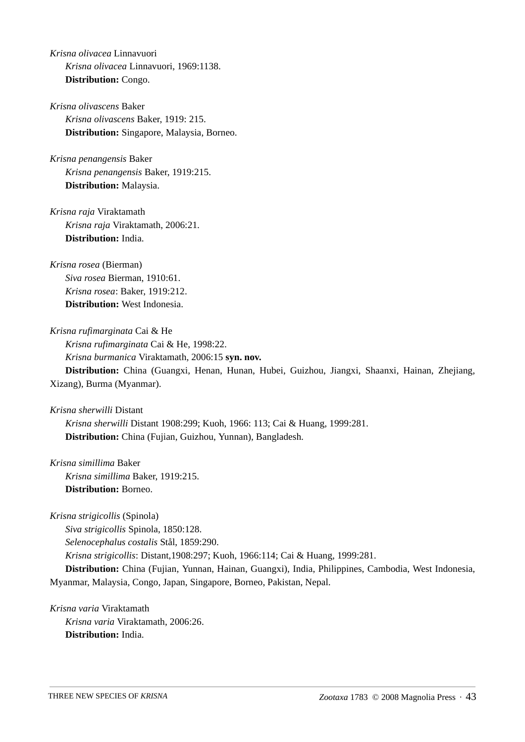*Krisna olivacea* Linnavuori *Krisna olivacea* Linnavuori, 1969:1138. **Distribution:** Congo.

- *Krisna olivascens* Baker *Krisna olivascens* Baker, 1919: 215. **Distribution:** Singapore, Malaysia, Borneo.
- *Krisna penangensis* Baker *Krisna penangensis* Baker, 1919:215. **Distribution:** Malaysia.

*Krisna raja* Viraktamath *Krisna raja* Viraktamath, 2006:21. **Distribution:** India.

*Krisna rosea* (Bierman) *Siva rosea* Bierman, 1910:61. *Krisna rosea*: Baker, 1919:212. **Distribution:** West Indonesia.

*Krisna rufimarginata* Cai & He *Krisna rufimarginata* Cai & He, 1998:22. *Krisna burmanica* Viraktamath, 2006:15 **syn. nov. Distribution:** China (Guangxi, Henan, Hunan, Hubei, Guizhou, Jiangxi, Shaanxi, Hainan, Zhejiang,

Xizang), Burma (Myanmar).

*Krisna sherwilli* Distant

*Krisna sherwilli* Distant 1908:299; Kuoh, 1966: 113; Cai & Huang, 1999:281. **Distribution:** China (Fujian, Guizhou, Yunnan), Bangladesh.

*Krisna simillima* Baker *Krisna simillima* Baker, 1919:215. **Distribution:** Borneo.

*Krisna strigicollis* (Spinola) *Siva strigicollis* Spinola, 1850:128. *Selenocephalus costalis* Stål, 1859:290. *Krisna strigicollis*: Distant,1908:297; Kuoh, 1966:114; Cai & Huang, 1999:281. **Distribution:** China (Fujian, Yunnan, Hainan, Guangxi), India, Philippines, Cambodia, West Indonesia, Myanmar, Malaysia, Congo, Japan, Singapore, Borneo, Pakistan, Nepal.

*Krisna varia* Viraktamath *Krisna varia* Viraktamath, 2006:26. **Distribution:** India.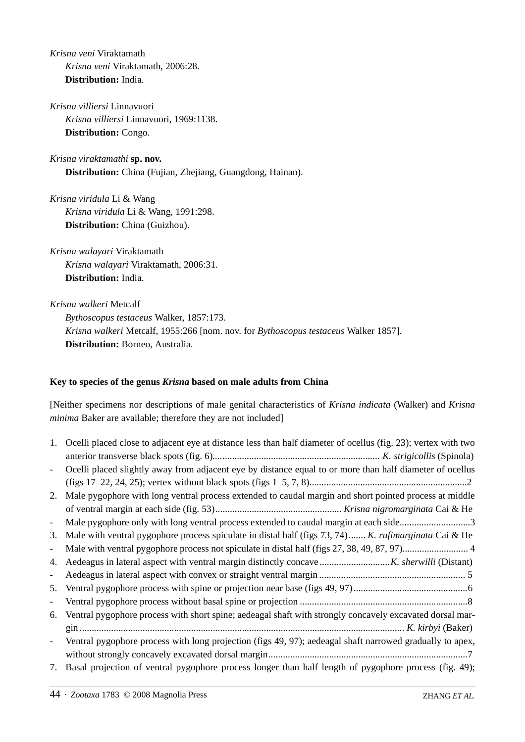*Krisna veni* Viraktamath *Krisna veni* Viraktamath, 2006:28. **Distribution:** India.

*Krisna villiersi* Linnavuori *Krisna villiersi* Linnavuori, 1969:1138. **Distribution:** Congo.

*Krisna viraktamathi* **sp. nov. Distribution:** China (Fujian, Zhejiang, Guangdong, Hainan).

*Krisna viridula* Li & Wang *Krisna viridula* Li & Wang, 1991:298. **Distribution:** China (Guizhou).

*Krisna walayari* Viraktamath *Krisna walayari* Viraktamath, 2006:31. **Distribution:** India.

*Krisna walkeri* Metcalf *Bythoscopus testaceus* Walker, 1857:173. *Krisna walkeri* Metcalf, 1955:266 [nom. nov. for *Bythoscopus testaceus* Walker 1857]. **Distribution:** Borneo, Australia.

## **Key to species of the genus** *Krisna* **based on male adults from China**

[Neither specimens nor descriptions of male genital characteristics of *Krisna indicata* (Walker) and *Krisna minima* Baker are available; therefore they are not included]

| 1.                       | Ocelli placed close to adjacent eye at distance less than half diameter of ocellus (fig. 23); vertex with two |
|--------------------------|---------------------------------------------------------------------------------------------------------------|
|                          |                                                                                                               |
| $\overline{\phantom{a}}$ | Ocelli placed slightly away from adjacent eye by distance equal to or more than half diameter of ocellus      |
|                          |                                                                                                               |
| 2.                       | Male pygophore with long ventral process extended to caudal margin and short pointed process at middle        |
|                          |                                                                                                               |
| $\frac{1}{2}$            | Male pygophore only with long ventral process extended to caudal margin at each side3                         |
| 3.                       | Male with ventral pygophore process spiculate in distal half (figs $73, 74$ ) K. rufimarginata Cai & He       |
| $\frac{1}{2}$            |                                                                                                               |
| 4.                       |                                                                                                               |
|                          |                                                                                                               |
| 5.                       |                                                                                                               |
| $\frac{1}{2}$            |                                                                                                               |
| 6.                       | Ventral pygophore process with short spine; aedeagal shaft with strongly concavely excavated dorsal mar-      |
|                          |                                                                                                               |
| $\overline{\phantom{a}}$ | Ventral pygophore process with long projection (figs 49, 97); aedeagal shaft narrowed gradually to apex,      |
|                          |                                                                                                               |
| 7.                       | Basal projection of ventral pygophore process longer than half length of pygophore process (fig. 49);         |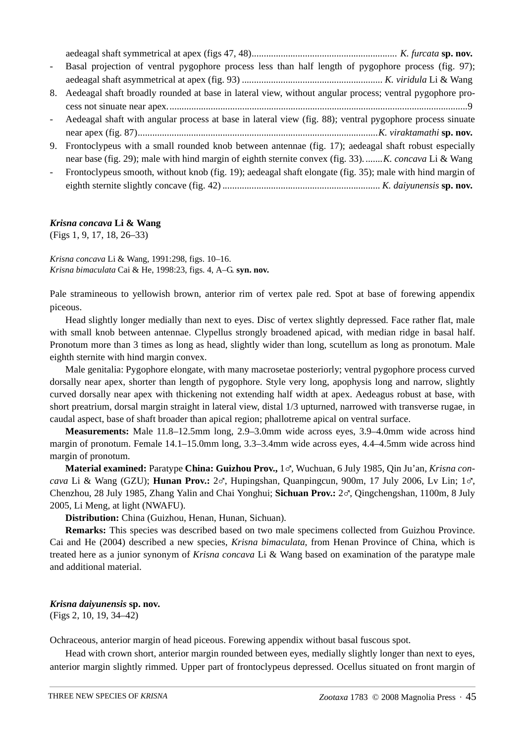| $\omega_{\rm{max}}$      | Basal projection of ventral pygophore process less than half length of pygophore process (fig. 97);       |
|--------------------------|-----------------------------------------------------------------------------------------------------------|
|                          |                                                                                                           |
| 8.                       | Aedeagal shaft broadly rounded at base in lateral view, without angular process; ventral pygophore pro-   |
|                          |                                                                                                           |
| $\sim 10^{-10}$          | Aedeagal shaft with angular process at base in lateral view (fig. 88); ventral pygophore process sinuate  |
|                          |                                                                                                           |
|                          | 9. Frontoclypeus with a small rounded knob between antennae (fig. 17); aedeagal shaft robust especially   |
|                          | near base (fig. 29); male with hind margin of eighth sternite convex (fig. 33) K. concava Li & Wang       |
| $\overline{\phantom{a}}$ | Frontoclypeus smooth, without knob (fig. 19); aedeagal shaft elongate (fig. 35); male with hind margin of |

eighth sternite slightly concave (fig. 42) *................................................................. K. daiyunensis* **sp. nov.**

## *Krisna concava* **Li & Wang**

(Figs 1, 9, 17, 18, 26–33)

*Krisna concava* Li & Wang, 1991:298, figs. 10–16. *Krisna bimaculata* Cai & He, 1998:23, figs. 4, A–G. **syn. nov.**

Pale stramineous to yellowish brown, anterior rim of vertex pale red. Spot at base of forewing appendix piceous.

Head slightly longer medially than next to eyes. Disc of vertex slightly depressed. Face rather flat, male with small knob between antennae. Clypellus strongly broadened apicad, with median ridge in basal half. Pronotum more than 3 times as long as head, slightly wider than long, scutellum as long as pronotum. Male eighth sternite with hind margin convex.

Male genitalia: Pygophore elongate, with many macrosetae posteriorly; ventral pygophore process curved dorsally near apex, shorter than length of pygophore. Style very long, apophysis long and narrow, slightly curved dorsally near apex with thickening not extending half width at apex. Aedeagus robust at base, with short preatrium, dorsal margin straight in lateral view, distal 1/3 upturned, narrowed with transverse rugae, in caudal aspect, base of shaft broader than apical region; phallotreme apical on ventral surface.

**Measurements:** Male 11.8–12.5mm long, 2.9–3.0mm wide across eyes, 3.9–4.0mm wide across hind margin of pronotum. Female 14.1–15.0mm long, 3.3–3.4mm wide across eyes, 4.4–4.5mm wide across hind margin of pronotum.

**Material examined:** Paratype **China: Guizhou Prov.,** 1%, Wuchuan, 6 July 1985, Qin Ju'an, *Krisna concava* Li & Wang (GZU); **Hunan Prov.:** 2%, Hupingshan, Quanpingcun, 900m, 17 July 2006, Lv Lin; 1%, Chenzhou, 28 July 1985, Zhang Yalin and Chai Yonghui; **Sichuan Prov.:** 2%, Qingchengshan, 1100m, 8 July 2005, Li Meng, at light (NWAFU).

**Distribution:** China (Guizhou, Henan, Hunan, Sichuan).

**Remarks:** This species was described based on two male specimens collected from Guizhou Province. Cai and He (2004) described a new species, *Krisna bimaculata*, from Henan Province of China, which is treated here as a junior synonym of *Krisna concava* Li & Wang based on examination of the paratype male and additional material.

## *Krisna daiyunensis* **sp. nov.** (Figs 2, 10, 19, 34–42)

Ochraceous, anterior margin of head piceous. Forewing appendix without basal fuscous spot.

Head with crown short, anterior margin rounded between eyes, medially slightly longer than next to eyes, anterior margin slightly rimmed. Upper part of frontoclypeus depressed. Ocellus situated on front margin of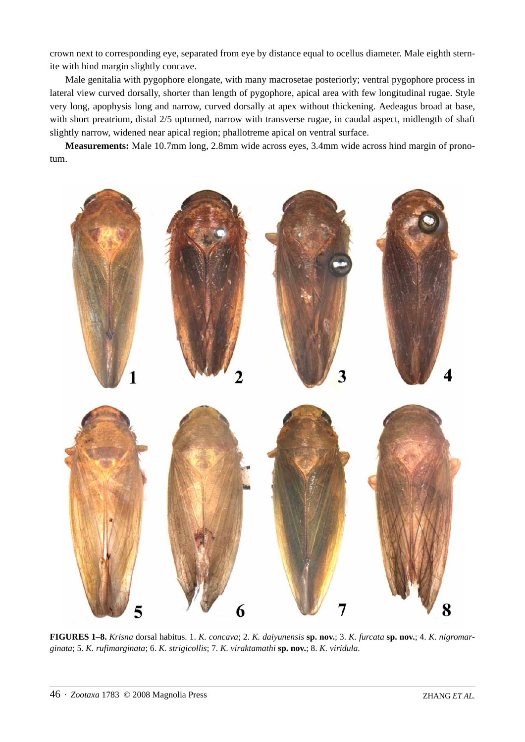crown next to corresponding eye, separated from eye by distance equal to ocellus diameter. Male eighth sternite with hind margin slightly concave.

Male genitalia with pygophore elongate, with many macrosetae posteriorly; ventral pygophore process in lateral view curved dorsally, shorter than length of pygophore, apical area with few longitudinal rugae. Style very long, apophysis long and narrow, curved dorsally at apex without thickening. Aedeagus broad at base, with short preatrium, distal 2/5 upturned, narrow with transverse rugae, in caudal aspect, midlength of shaft slightly narrow, widened near apical region; phallotreme apical on ventral surface.

**Measurements:** Male 10.7mm long, 2.8mm wide across eyes, 3.4mm wide across hind margin of pronotum.



**FIGURES 1–8.** *Krisna* dorsal habitus. 1. *K. concava*; 2. *K. daiyunensis* **sp. nov.**; 3. *K. furcata* **sp. nov.**; 4. *K. nigromarginata*; 5. *K. rufimarginata*; 6. *K. strigicollis*; 7. *K. viraktamathi* **sp. nov.**; 8. *K. viridula*.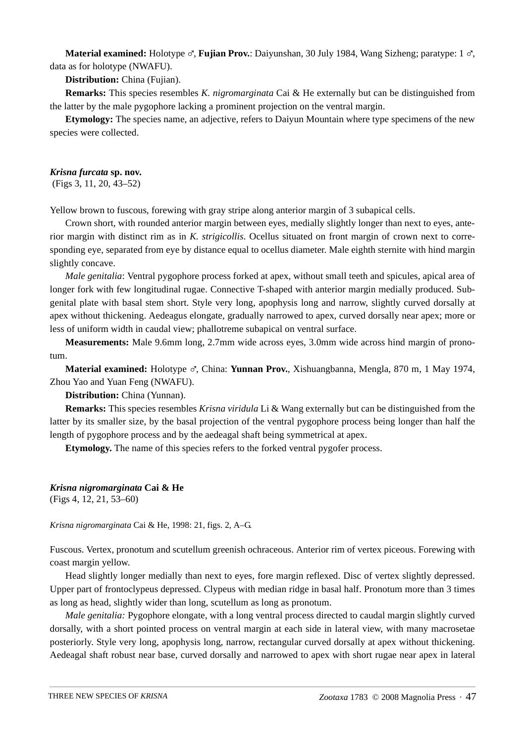**Material examined:** Holotype ♂, **Fujian Prov.**: Daiyunshan, 30 July 1984, Wang Sizheng; paratype: 1 ♂, data as for holotype (NWAFU).

**Distribution:** China (Fujian).

**Remarks:** This species resembles *K. nigromarginata* Cai & He externally but can be distinguished from the latter by the male pygophore lacking a prominent projection on the ventral margin.

**Etymology:** The species name, an adjective, refers to Daiyun Mountain where type specimens of the new species were collected.

## *Krisna furcata* **sp. nov.**

(Figs 3, 11, 20, 43–52)

Yellow brown to fuscous, forewing with gray stripe along anterior margin of 3 subapical cells.

Crown short, with rounded anterior margin between eyes, medially slightly longer than next to eyes, anterior margin with distinct rim as in *K. strigicollis*. Ocellus situated on front margin of crown next to corresponding eye, separated from eye by distance equal to ocellus diameter. Male eighth sternite with hind margin slightly concave.

*Male genitalia*: Ventral pygophore process forked at apex, without small teeth and spicules, apical area of longer fork with few longitudinal rugae. Connective T-shaped with anterior margin medially produced. Subgenital plate with basal stem short. Style very long, apophysis long and narrow, slightly curved dorsally at apex without thickening. Aedeagus elongate, gradually narrowed to apex, curved dorsally near apex; more or less of uniform width in caudal view; phallotreme subapical on ventral surface.

**Measurements:** Male 9.6mm long, 2.7mm wide across eyes, 3.0mm wide across hind margin of pronotum.

**Material examined:** Holotype %, China: **Yunnan Prov.**, Xishuangbanna, Mengla, 870 m, 1 May 1974, Zhou Yao and Yuan Feng (NWAFU).

**Distribution:** China (Yunnan).

**Remarks:** This species resembles *Krisna viridula* Li & Wang externally but can be distinguished from the latter by its smaller size, by the basal projection of the ventral pygophore process being longer than half the length of pygophore process and by the aedeagal shaft being symmetrical at apex.

**Etymology.** The name of this species refers to the forked ventral pygofer process.

# *Krisna nigromarginata* **Cai & He**

(Figs 4, 12, 21, 53–60)

*Krisna nigromarginata* Cai & He, 1998: 21, figs. 2, A–G.

Fuscous. Vertex, pronotum and scutellum greenish ochraceous. Anterior rim of vertex piceous. Forewing with coast margin yellow.

Head slightly longer medially than next to eyes, fore margin reflexed. Disc of vertex slightly depressed. Upper part of frontoclypeus depressed. Clypeus with median ridge in basal half. Pronotum more than 3 times as long as head, slightly wider than long, scutellum as long as pronotum.

*Male genitalia:* Pygophore elongate, with a long ventral process directed to caudal margin slightly curved dorsally, with a short pointed process on ventral margin at each side in lateral view, with many macrosetae posteriorly. Style very long, apophysis long, narrow, rectangular curved dorsally at apex without thickening. Aedeagal shaft robust near base, curved dorsally and narrowed to apex with short rugae near apex in lateral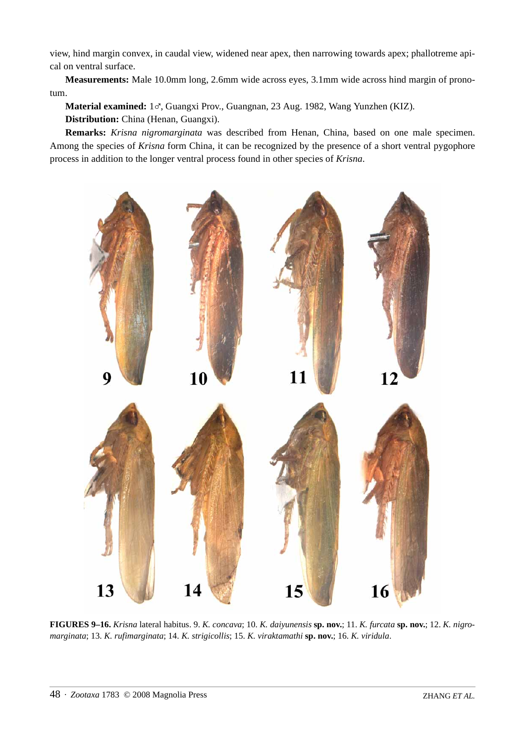view, hind margin convex, in caudal view, widened near apex, then narrowing towards apex; phallotreme apical on ventral surface.

**Measurements:** Male 10.0mm long, 2.6mm wide across eyes, 3.1mm wide across hind margin of pronotum.

**Material examined:** 1%, Guangxi Prov., Guangnan, 23 Aug. 1982, Wang Yunzhen (KIZ).

**Distribution:** China (Henan, Guangxi).

**Remarks:** *Krisna nigromarginata* was described from Henan, China, based on one male specimen. Among the species of *Krisna* form China, it can be recognized by the presence of a short ventral pygophore process in addition to the longer ventral process found in other species of *Krisna*.



**FIGURES 9–16.** *Krisna* lateral habitus. 9. *K. concava*; 10. *K. daiyunensis* **sp. nov.**; 11. *K. furcata* **sp. nov.**; 12. *K. nigromarginata*; 13. *K. rufimarginata*; 14. *K. strigicollis*; 15. *K. viraktamathi* **sp. nov.**; 16. *K. viridula*.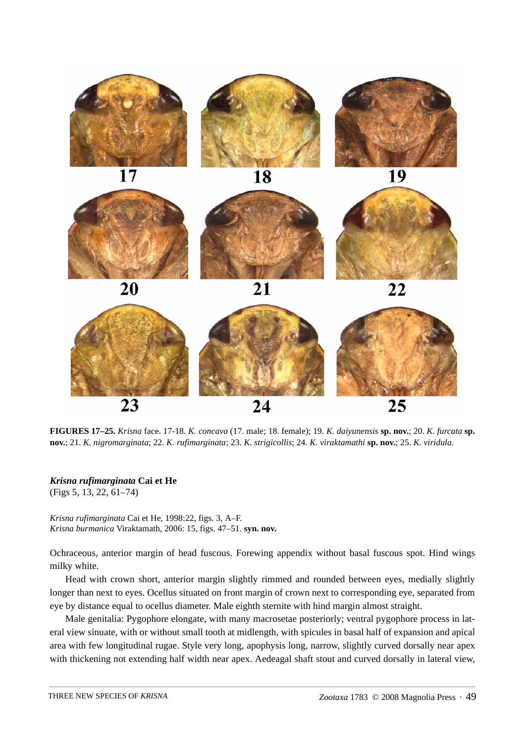

**FIGURES 17–25.** *Krisna* face. 17-18. *K. concava* (17. male; 18. female); 19. *K. daiyunensis* **sp. nov.**; 20. *K. furcata* **sp. nov.**; 21. *K. nigromarginata*; 22. *K. rufimarginata*; 23. *K. strigicollis*; 24. *K. viraktamathi* **sp. nov.**; 25. *K. viridula*.

*Krisna rufimarginata* **Cai et He** (Figs 5, 13, 22, 61–74)

*Krisna rufimarginata* Cai et He, 1998:22, figs. 3, A–F. *Krisna burmanica* Viraktamath, 2006: 15, figs. 47–51. **syn. nov.**

Ochraceous, anterior margin of head fuscous. Forewing appendix without basal fuscous spot. Hind wings milky white.

Head with crown short, anterior margin slightly rimmed and rounded between eyes, medially slightly longer than next to eyes. Ocellus situated on front margin of crown next to corresponding eye, separated from eye by distance equal to ocellus diameter. Male eighth sternite with hind margin almost straight.

Male genitalia: Pygophore elongate, with many macrosetae posteriorly; ventral pygophore process in lateral view sinuate, with or without small tooth at midlength, with spicules in basal half of expansion and apical area with few longitudinal rugae. Style very long, apophysis long, narrow, slightly curved dorsally near apex with thickening not extending half width near apex. Aedeagal shaft stout and curved dorsally in lateral view,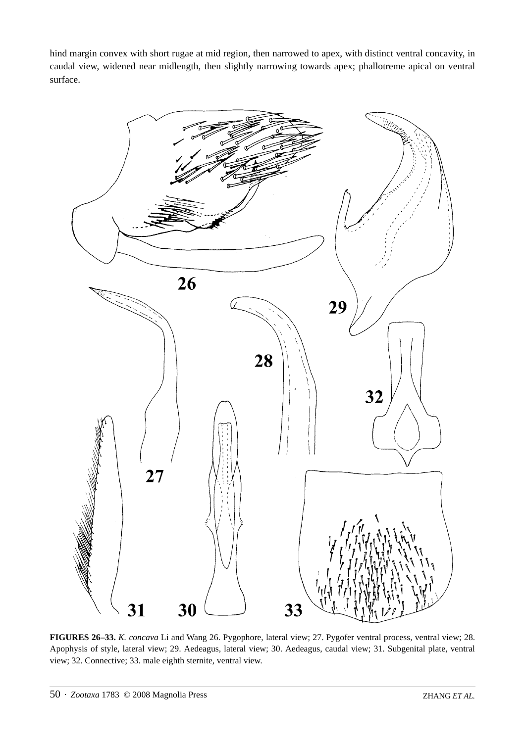hind margin convex with short rugae at mid region, then narrowed to apex, with distinct ventral concavity, in caudal view, widened near midlength, then slightly narrowing towards apex; phallotreme apical on ventral surface.



**FIGURES 26–33.** *K. concava* Li and Wang 26. Pygophore, lateral view; 27. Pygofer ventral process, ventral view; 28. Apophysis of style, lateral view; 29. Aedeagus, lateral view; 30. Aedeagus, caudal view; 31. Subgenital plate, ventral view; 32. Connective; 33. male eighth sternite, ventral view.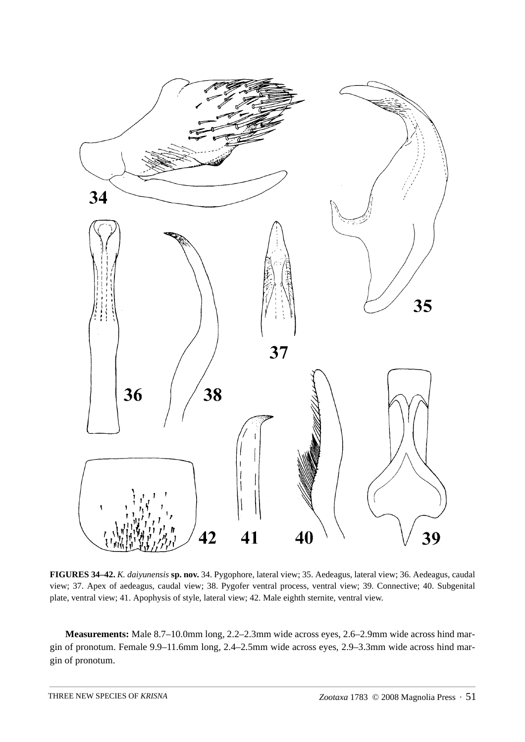

**FIGURES 34–42.** *K. daiyunensis* **sp. nov.** 34. Pygophore, lateral view; 35. Aedeagus, lateral view; 36. Aedeagus, caudal view; 37. Apex of aedeagus, caudal view; 38. Pygofer ventral process, ventral view; 39. Connective; 40. Subgenital plate, ventral view; 41. Apophysis of style, lateral view; 42. Male eighth sternite, ventral view.

**Measurements:** Male 8.7–10.0mm long, 2.2–2.3mm wide across eyes, 2.6–2.9mm wide across hind margin of pronotum. Female 9.9–11.6mm long, 2.4–2.5mm wide across eyes, 2.9–3.3mm wide across hind margin of pronotum.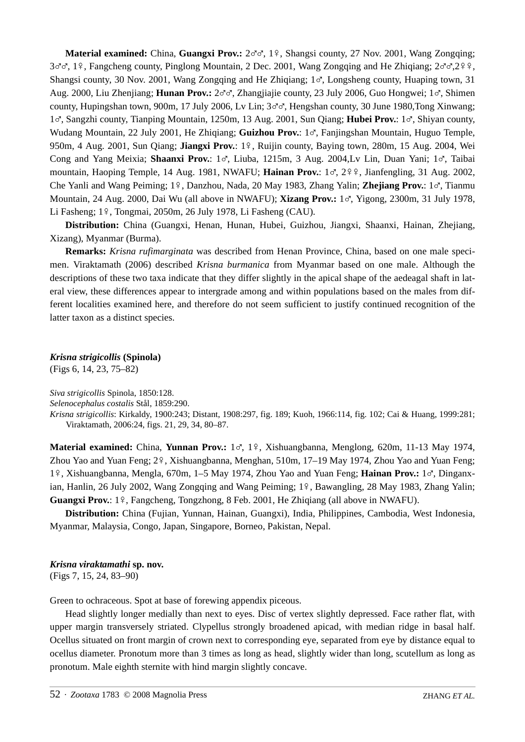Material examined: China, Guangxi Prov.:  $2 \circ \circ$ , 1<sup>2</sup>, Shangsi county, 27 Nov. 2001, Wang Zongqing;  $3\sigma\sigma$ , 19, Fangcheng county, Pinglong Mountain, 2 Dec. 2001, Wang Zongqing and He Zhiqiang;  $2\sigma\sigma$ ,  $2\gamma\gamma$ , Shangsi county, 30 Nov. 2001, Wang Zongqing and He Zhiqiang;  $1\sigma$ , Longsheng county, Huaping town, 31 Aug. 2000, Liu Zhenjiang; **Hunan Prov.:** 2%%, Zhangjiajie county, 23 July 2006, Guo Hongwei; 1%, Shimen county, Hupingshan town, 900m, 17 July 2006, Ly Lin;  $3 \sigma \sigma$ , Hengshan county, 30 June 1980, Tong Xinwang; <sup>1</sup>%, Sangzhi county, Tianping Mountain, 1250m, 13 Aug. 2001, Sun Qiang; **Hubei Prov.**: 1%, Shiyan county, Wudang Mountain, 22 July 2001, He Zhiqiang; **Guizhou Prov.**: 1%, Fanjingshan Mountain, Huguo Temple, 950m, 4 Aug. 2001, Sun Qiang; **Jiangxi Prov.**: 1º, Ruijin county, Baying town, 280m, 15 Aug. 2004, Wei Cong and Yang Meixia; Shaanxi Prov.: 1%, Liuba, 1215m, 3 Aug. 2004,Lv Lin, Duan Yani; 1%, Taibai mountain, Haoping Temple, 14 Aug. 1981, NWAFU; Hainan Prov.: 1%, 299, Jianfengling, 31 Aug. 2002, Che Yanli and Wang Peiming; 1º, Danzhou, Nada, 20 May 1983, Zhang Yalin; Zhejiang Prov.: 1%, Tianmu Mountain, 24 Aug. 2000, Dai Wu (all above in NWAFU); **Xizang Prov.:** 1%, Yigong, 2300m, 31 July 1978, Li Fasheng; 1<sup>9</sup>, Tongmai, 2050m, 26 July 1978, Li Fasheng (CAU).

**Distribution:** China (Guangxi, Henan, Hunan, Hubei, Guizhou, Jiangxi, Shaanxi, Hainan, Zhejiang, Xizang), Myanmar (Burma).

**Remarks:** *Krisna rufimarginata* was described from Henan Province, China, based on one male specimen. Viraktamath (2006) described *Krisna burmanica* from Myanmar based on one male. Although the descriptions of these two taxa indicate that they differ slightly in the apical shape of the aedeagal shaft in lateral view, these differences appear to intergrade among and within populations based on the males from different localities examined here, and therefore do not seem sufficient to justify continued recognition of the latter taxon as a distinct species.

*Krisna strigicollis* **(Spinola)**

(Figs 6, 14, 23, 75–82)

*Siva strigicollis* Spinola, 1850:128.

*Selenocephalus costalis* Stål, 1859:290.

*Krisna strigicollis*: Kirkaldy, 1900:243; Distant, 1908:297, fig. 189; Kuoh, 1966:114, fig. 102; Cai & Huang, 1999:281; Viraktamath, 2006:24, figs. 21, 29, 34, 80–87.

Material examined: China, Yunnan Prov.: 1%, 1º, Xishuangbanna, Menglong, 620m, 11-13 May 1974, Zhou Yao and Yuan Feng;  $2\frac{9}{5}$ , Xishuangbanna, Menghan, 510m, 17–19 May 1974, Zhou Yao and Yuan Feng; <sup>1</sup>&, Xishuangbanna, Mengla, 670m, 1–5 May 1974, Zhou Yao and Yuan Feng; **Hainan Prov.:** 1%, Dinganxian, Hanlin, 26 July 2002, Wang Zongqing and Wang Peiming; 1º, Bawangling, 28 May 1983, Zhang Yalin; **Guangxi Prov.**: 1<sup>2</sup>, Fangcheng, Tongzhong, 8 Feb. 2001, He Zhiqiang (all above in NWAFU).

**Distribution:** China (Fujian, Yunnan, Hainan, Guangxi), India, Philippines, Cambodia, West Indonesia, Myanmar, Malaysia, Congo, Japan, Singapore, Borneo, Pakistan, Nepal.

*Krisna viraktamathi* **sp. nov.** (Figs 7, 15, 24, 83–90)

Green to ochraceous. Spot at base of forewing appendix piceous.

Head slightly longer medially than next to eyes. Disc of vertex slightly depressed. Face rather flat, with upper margin transversely striated. Clypellus strongly broadened apicad, with median ridge in basal half. Ocellus situated on front margin of crown next to corresponding eye, separated from eye by distance equal to ocellus diameter. Pronotum more than 3 times as long as head, slightly wider than long, scutellum as long as pronotum. Male eighth sternite with hind margin slightly concave.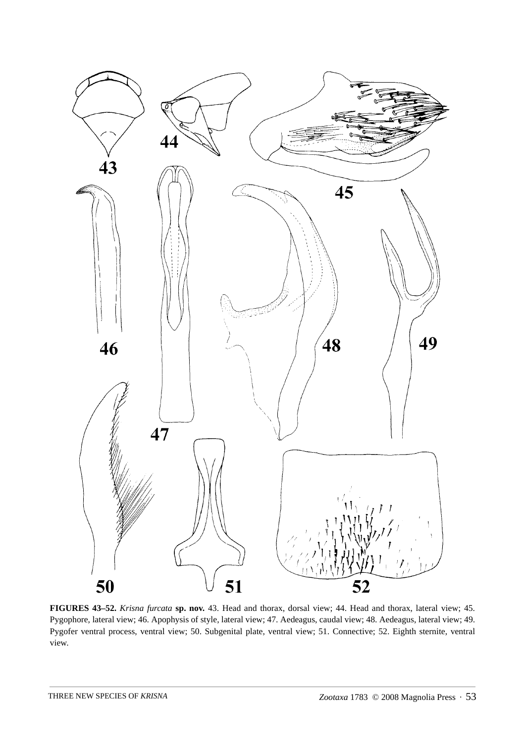

**FIGURES 43–52.** *Krisna furcata* **sp. nov.** 43. Head and thorax, dorsal view; 44. Head and thorax, lateral view; 45. Pygophore, lateral view; 46. Apophysis of style, lateral view; 47. Aedeagus, caudal view; 48. Aedeagus, lateral view; 49. Pygofer ventral process, ventral view; 50. Subgenital plate, ventral view; 51. Connective; 52. Eighth sternite, ventral view.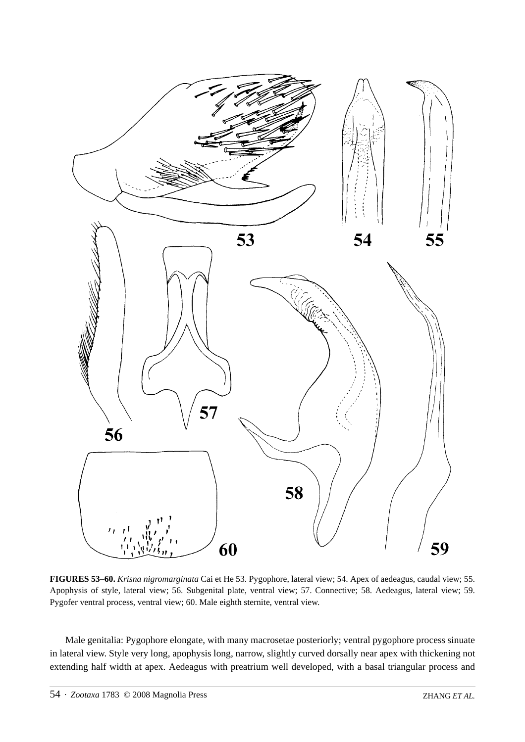

**FIGURES 53–60.** *Krisna nigromarginata* Cai et He 53. Pygophore, lateral view; 54. Apex of aedeagus, caudal view; 55. Apophysis of style, lateral view; 56. Subgenital plate, ventral view; 57. Connective; 58. Aedeagus, lateral view; 59. Pygofer ventral process, ventral view; 60. Male eighth sternite, ventral view.

Male genitalia: Pygophore elongate, with many macrosetae posteriorly; ventral pygophore process sinuate in lateral view. Style very long, apophysis long, narrow, slightly curved dorsally near apex with thickening not extending half width at apex. Aedeagus with preatrium well developed, with a basal triangular process and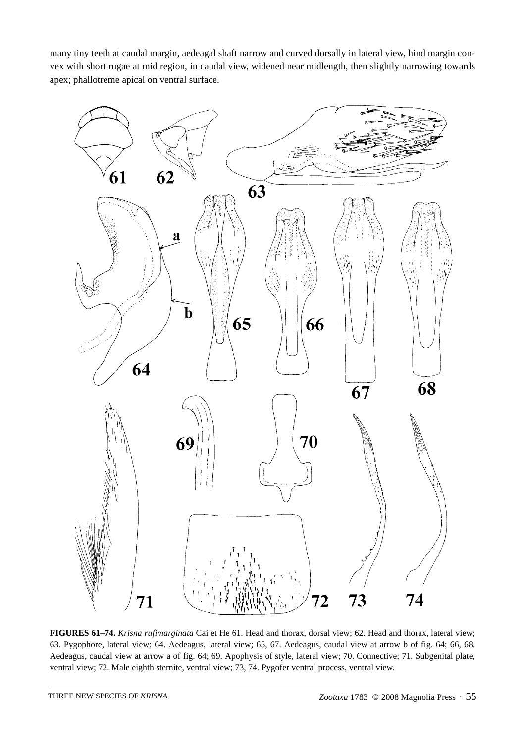many tiny teeth at caudal margin, aedeagal shaft narrow and curved dorsally in lateral view, hind margin convex with short rugae at mid region, in caudal view, widened near midlength, then slightly narrowing towards apex; phallotreme apical on ventral surface.



**FIGURES 61–74.** *Krisna rufimarginata* Cai et He 61. Head and thorax, dorsal view; 62. Head and thorax, lateral view; 63. Pygophore, lateral view; 64. Aedeagus, lateral view; 65, 67. Aedeagus, caudal view at arrow b of fig. 64; 66, 68. Aedeagus, caudal view at arrow a of fig. 64; 69. Apophysis of style, lateral view; 70. Connective; 71. Subgenital plate, ventral view; 72. Male eighth sternite, ventral view; 73, 74. Pygofer ventral process, ventral view.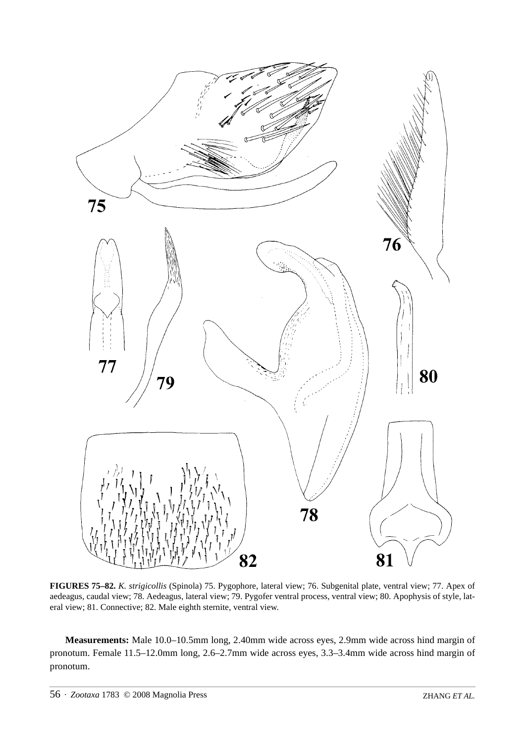

**FIGURES 75–82.** *K. strigicollis* (Spinola) 75. Pygophore, lateral view; 76. Subgenital plate, ventral view; 77. Apex of aedeagus, caudal view; 78. Aedeagus, lateral view; 79. Pygofer ventral process, ventral view; 80. Apophysis of style, lateral view; 81. Connective; 82. Male eighth sternite, ventral view.

**Measurements:** Male 10.0–10.5mm long, 2.40mm wide across eyes, 2.9mm wide across hind margin of pronotum. Female 11.5–12.0mm long, 2.6–2.7mm wide across eyes, 3.3–3.4mm wide across hind margin of pronotum.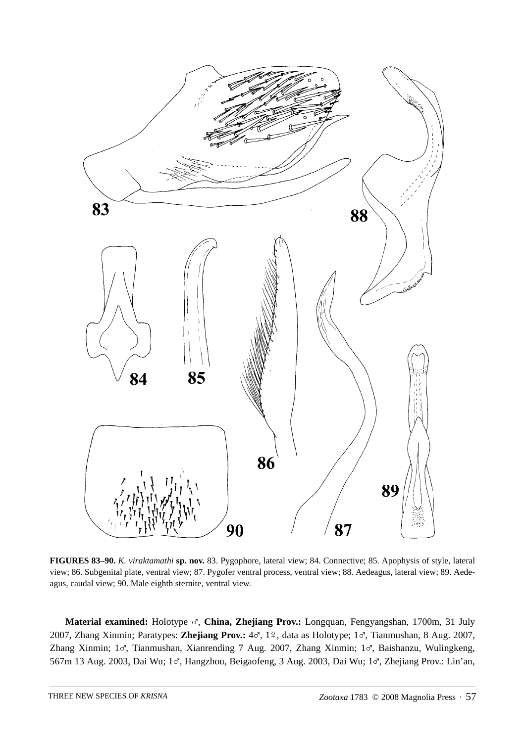

**FIGURES 83–90.** *K. viraktamathi* **sp. nov.** 83. Pygophore, lateral view; 84. Connective; 85. Apophysis of style, lateral view; 86. Subgenital plate, ventral view; 87. Pygofer ventral process, ventral view; 88. Aedeagus, lateral view; 89. Aedeagus, caudal view; 90. Male eighth sternite, ventral view.

**Material examined:** Holotype %, **China, Zhejiang Prov.:** Longquan, Fengyangshan, 1700m, 31 July 2007, Zhang Xinmin; Paratypes: Zhejiang Prov.:  $4\sigma$ , 1 $9$ , data as Holotype; 1 $\sigma$ , Tianmushan, 8 Aug. 2007, Zhang Xinmin; 1%, Tianmushan, Xianrending 7 Aug. 2007, Zhang Xinmin; 1%, Baishanzu, Wulingkeng, 567m 13 Aug. 2003, Dai Wu; 1%, Hangzhou, Beigaofeng, 3 Aug. 2003, Dai Wu; 1%, Zhejiang Prov.: Lin'an,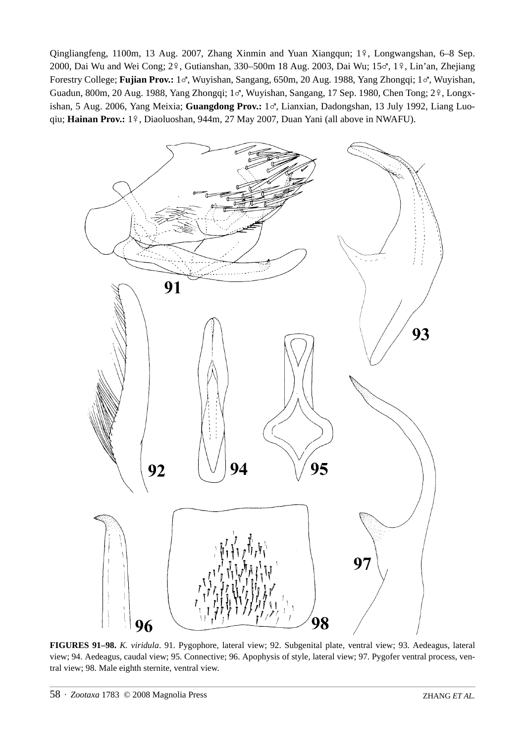Qingliangfeng, 1100m, 13 Aug. 2007, Zhang Xinmin and Yuan Xiangqun; 1º, Longwangshan, 6–8 Sep. 2000, Dai Wu and Wei Cong; 2 $9$ , Gutianshan, 330–500m 18 Aug. 2003, Dai Wu; 15 $\sigma$ , 1 $9$ , Lin'an, Zhejiang Forestry College; **Fujian Prov.:** 1%, Wuyishan, Sangang, 650m, 20 Aug. 1988, Yang Zhongqi; 1%, Wuyishan, Guadun, 800m, 20 Aug. 1988, Yang Zhongqi; 1%, Wuyishan, Sangang, 17 Sep. 1980, Chen Tong; 2 $\frac{1}{2}$ , Longxishan, 5 Aug. 2006, Yang Meixia; Guangdong Prov.: 1%, Lianxian, Dadongshan, 13 July 1992, Liang Luoqiu; Hainan Prov.: 1º, Diaoluoshan, 944m, 27 May 2007, Duan Yani (all above in NWAFU).



**FIGURES 91–98.** *K. viridula*. 91. Pygophore, lateral view; 92. Subgenital plate, ventral view; 93. Aedeagus, lateral view; 94. Aedeagus, caudal view; 95. Connective; 96. Apophysis of style, lateral view; 97. Pygofer ventral process, ventral view; 98. Male eighth sternite, ventral view.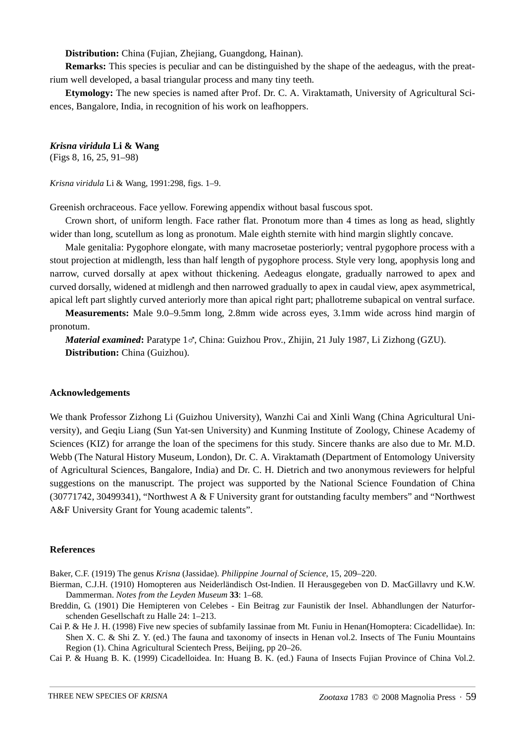**Distribution:** China (Fujian, Zhejiang, Guangdong, Hainan).

**Remarks:** This species is peculiar and can be distinguished by the shape of the aedeagus, with the preatrium well developed, a basal triangular process and many tiny teeth.

**Etymology:** The new species is named after Prof. Dr. C. A. Viraktamath, University of Agricultural Sciences, Bangalore, India, in recognition of his work on leafhoppers.

*Krisna viridula* **Li & Wang**

(Figs 8, 16, 25, 91–98)

*Krisna viridula* Li & Wang, 1991:298, figs. 1–9.

Greenish orchraceous. Face yellow. Forewing appendix without basal fuscous spot.

Crown short, of uniform length. Face rather flat. Pronotum more than 4 times as long as head, slightly wider than long, scutellum as long as pronotum. Male eighth sternite with hind margin slightly concave.

Male genitalia: Pygophore elongate, with many macrosetae posteriorly; ventral pygophore process with a stout projection at midlength, less than half length of pygophore process. Style very long, apophysis long and narrow, curved dorsally at apex without thickening. Aedeagus elongate, gradually narrowed to apex and curved dorsally, widened at midlengh and then narrowed gradually to apex in caudal view, apex asymmetrical, apical left part slightly curved anteriorly more than apical right part; phallotreme subapical on ventral surface.

**Measurements:** Male 9.0–9.5mm long, 2.8mm wide across eyes, 3.1mm wide across hind margin of pronotum.

*Material examined*: Paratype 1%, China: Guizhou Prov., Zhijin, 21 July 1987, Li Zizhong (GZU). **Distribution:** China (Guizhou).

#### **Acknowledgements**

We thank Professor Zizhong Li (Guizhou University), Wanzhi Cai and Xinli Wang (China Agricultural University), and Geqiu Liang (Sun Yat-sen University) and Kunming Institute of Zoology, Chinese Academy of Sciences (KIZ) for arrange the loan of the specimens for this study. Sincere thanks are also due to Mr. M.D. Webb (The Natural History Museum, London), Dr. C. A. Viraktamath (Department of Entomology University of Agricultural Sciences, Bangalore, India) and Dr. C. H. Dietrich and two anonymous reviewers for helpful suggestions on the manuscript. The project was supported by the National Science Foundation of China (30771742, 30499341), "Northwest A & F University grant for outstanding faculty members" and "Northwest A&F University Grant for Young academic talents".

### **References**

Baker, C.F. (1919) The genus *Krisna* (Jassidae). *Philippine Journal of Science*, 15, 209–220.

Bierman, C.J.H. (1910) Homopteren aus Neiderländisch Ost-Indien. II Herausgegeben von D. MacGillavry und K.W. Dammerman. *Notes from the Leyden Museum* **33**: 1–68.

Breddin, G. (1901) Die Hemipteren von Celebes - Ein Beitrag zur Faunistik der Insel. Abhandlungen der Naturforschenden Gesellschaft zu Halle 24: 1–213.

Cai P. & He J. H. (1998) Five new species of subfamily Iassinae from Mt. Funiu in Henan(Homoptera: Cicadellidae). In: Shen X. C. & Shi Z. Y. (ed.) The fauna and taxonomy of insects in Henan vol.2. Insects of The Funiu Mountains Region (1). China Agricultural Scientech Press, Beijing, pp 20–26.

Cai P. & Huang B. K. (1999) Cicadelloidea. In: Huang B. K. (ed.) Fauna of Insects Fujian Province of China Vol.2.